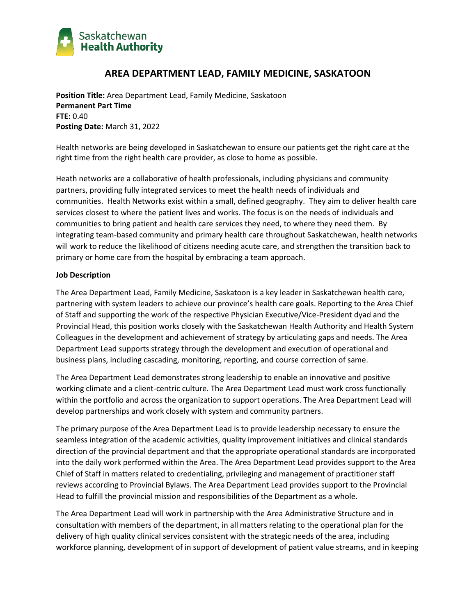

# **AREA DEPARTMENT LEAD, FAMILY MEDICINE, SASKATOON**

**Position Title:** Area Department Lead, Family Medicine, Saskatoon **Permanent Part Time FTE:** 0.40 **Posting Date:** March 31, 2022

Health networks are being developed in Saskatchewan to ensure our patients get the right care at the right time from the right health care provider, as close to home as possible.

Heath networks are a collaborative of health professionals, including physicians and community partners, providing fully integrated services to meet the health needs of individuals and communities. Health Networks exist within a small, defined geography. They aim to deliver health care services closest to where the patient lives and works. The focus is on the needs of individuals and communities to bring patient and health care services they need, to where they need them. By integrating team-based community and primary health care throughout Saskatchewan, health networks will work to reduce the likelihood of citizens needing acute care, and strengthen the transition back to primary or home care from the hospital by embracing a team approach.

## **Job Description**

The Area Department Lead, Family Medicine, Saskatoon is a key leader in Saskatchewan health care, partnering with system leaders to achieve our province's health care goals. Reporting to the Area Chief of Staff and supporting the work of the respective Physician Executive/Vice-President dyad and the Provincial Head, this position works closely with the Saskatchewan Health Authority and Health System Colleagues in the development and achievement of strategy by articulating gaps and needs. The Area Department Lead supports strategy through the development and execution of operational and business plans, including cascading, monitoring, reporting, and course correction of same.

The Area Department Lead demonstrates strong leadership to enable an innovative and positive working climate and a client-centric culture. The Area Department Lead must work cross functionally within the portfolio and across the organization to support operations. The Area Department Lead will develop partnerships and work closely with system and community partners.

The primary purpose of the Area Department Lead is to provide leadership necessary to ensure the seamless integration of the academic activities, quality improvement initiatives and clinical standards direction of the provincial department and that the appropriate operational standards are incorporated into the daily work performed within the Area. The Area Department Lead provides support to the Area Chief of Staff in matters related to credentialing, privileging and management of practitioner staff reviews according to Provincial Bylaws. The Area Department Lead provides support to the Provincial Head to fulfill the provincial mission and responsibilities of the Department as a whole.

The Area Department Lead will work in partnership with the Area Administrative Structure and in consultation with members of the department, in all matters relating to the operational plan for the delivery of high quality clinical services consistent with the strategic needs of the area, including workforce planning, development of in support of development of patient value streams, and in keeping